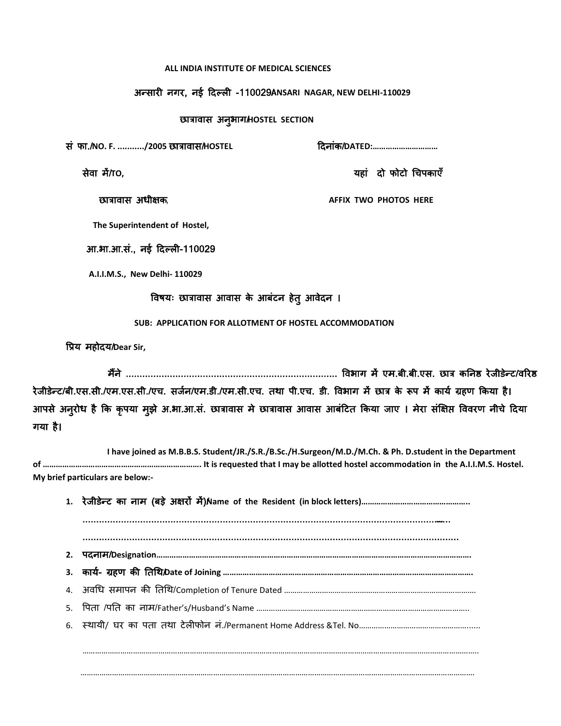#### **ALL INDIA INSTITUTE OF MEDICAL SCIENCES**

### अन्सायी नगय, नई ददल्री -110029**ANSARI** / **NAGAR, NEW DELHI-110029**

# छात्रावास अनुबाग/**HOSTEL SECTION**

सॊ पा./**NO. F. .........../2005** छात्रावास/**HOSTEL** ददनाॊक/**DATED:…………………………**

सेवा भें/**TO,** महाॊ दो पोटो चिऩकाएॉ

छात्रावास अधीऺक, **AFFIX TWO PHOTOS HERE**

 **The Superintendent of Hostel,**

आ.बा.आ.सॊ., नई ददल्री-110029

**A.I.I.M.S., New Delhi- 110029**

# ववषम् छात्रावास आवास के आफॊटन हेतु आवेदन ।

 **SUB: APPLICATION FOR ALLOTMENT OF HOSTEL ACCOMMODATION**

विम भहोदम/**Dear Sir,**

भैंने ............................................................................. ववबाग भें एभ.फी.फी.एस. छात्र कननष्ठ येजीडेन्ट/वरयष्ठ रेजीडेन्ट/बी.एस.सी./एम.एस.सी./एच. सर्जन/एम.डी./एम.सी.एच. तथा पी.एच. डी. विभाग में छात्र के रूप में कार्य ग्रहण किया है। आपसे अनुरोध है कि कृपया मुझे अ.भा.आ.सं. छात्रावास मे छात्रावास आवास आबंटित किया जाए । मेरा संक्षिप्त विवरण नीचे दिया गमा है।

 **I have joined as M.B.B.S. Student/JR./S.R./B.Sc./H.Surgeon/M.D./M.Ch. & Ph. D.student in the Department of ………………………………………………………………. It is requested that I may be allotted hostel accommodation in the A.I.I.M.S. Hostel. My brief particulars are below:-**

…………………………………………………………………………………………………………………………………………………………………….